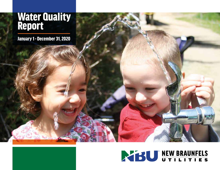# **Water Quality** Report

January 1 - December 31, 2020

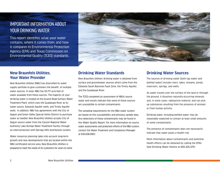# IMPORTANT INFORMATION ABOUT YOUR DRINKING WATER

This report identifies what your water contains, where it comes from, and how it compares to Environmental Protection Agency (EPA) and Texas Commission on Environmental Quality (TCEQ) standards.



## **New Braunfels Utilities, Your Water Provider**

New Braunfels Utilities (NBU) has diversified its water supply portfolio to give customers the benefit of multiple water sources. In total, NBU has 50,717 acre-feet of water available from these sources. The majority of your drinking water is treated at the Gruene Road Surface Water Treatment Plant, which uses the Guadalupe River as its water source, Edwards Aquifer wells, and Trinity Aquifer wells. In addition, NBU has agreements with the City of Seguin and Green Valley Special Utility District to purchase water as needed. New Braunfels Utilities accepts City of Seguin source water from the Canyon Regional Water Authority Lake Dunlap Water Treatment Facility through an interconnection with Springs Hill's distribution system.

Water resources planning takes into account long-term growth and new developments that are located within the NBU certificated service area. New Braunfels Utilities is prepared to meet the needs of its customers for years to come.

## **Drinking Water Standards**

New Braunfels Utilities' drinking water is obtained from surface and groundwater sources which come from the Edwards South Balcones Fault Zone, the Trinity Aquifer, and the Guadalupe River.

The TCEQ completed an assessment of NBU's source water and results indicate that some of these sources are susceptible to certain contaminants.

The sampling requirements for the NBU water system are based on this susceptibility and previous sample data. Any detections of these contaminants may be found in this Water Quality Report. For more information on source water assessments and protection efforts of the NBU system, contact the Water Treatment and Compliance Manager at 830.608.8901.

### **Drinking Water Sources**

The sources of drinking water (both tap water and bottled water) include rivers, lakes, streams, ponds, reservoirs, springs, and wells.

As water travels over the surface of the land or through the ground, it dissolves naturally-occurring minerals and, in some cases, radioactive material, and can pick up substances resulting from the presence of animals or from human activity.

Drinking water, including bottled water, may be reasonably expected to contain at least small amounts of some contaminants.

The presence of contaminants does not necessarily indicate that water poses a health risk.

More information about contaminants and potential health effects can be obtained by calling the EPA's Safe Drinking Water Hotline at 800.426.4791.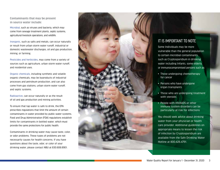**Contaminants that may be present in source water include:**

Microbial, such as viruses and bacteria, which may come from sewage treatment plants, septic systems, agricultural livestock operations, and wildlife.

Inorganic, such as salts and metals, can occur naturally or result from urban storm water runoff, industrial or domestic wastewater discharges, oil and gas production, mining, or farming.

Pesticides and herbicides, may come from a variety of sources such as agriculture, urban storm water runoff, and residential uses.

Organic chemicals, including synthetic and volatile organic chemicals, may be byproducts of industrial processes and petroleum production, and can also come from gas stations, urban storm water runoff, and septic systems.

Radioactive , can occur naturally or as the result of oil and gas production and mining activities.

To ensure that tap water is safe to drink, the EPA prescribes regulations that limit the amount of certain contaminants in water provided by public water systems. Food and Drug Administration (FDA) regulations establish limits for contaminants in bottled water, which must provide the same protections for public health.

Contaminants in drinking water may cause taste, color, or odor problems. These types of problems are not necessarily causes for health concerns. If you have questions about the taste, odor, or color of your drinking water, please contact NBU at 830.608.8901.



# IT IS IMPORTANT TO NOTE

Some Individuals may be more vulnerable than the general population to certain microbial contaminants, such as Cryptosporidium in drinking water including Infants, some elderly, or immunocompromised persons such as:

- Those undergoing chemotherapy for cancer
- Persons who have undergone organ transplants
- Those who are undergoing treatment with steroids
- People with HIV/AIDS or other immune system disorders can be particularly at risk for infections

You should seek advice about drinking water from your physician or health care provider. Additional guidelines on appropriate means to lessen the risk of infection by Cryptosporidium are available from the Safe Drinking Water Hotline at 800.426.4791.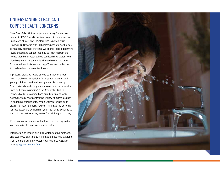# UNDERSTANDING LEAD AND COPPER HEALTH CONCERNS

New Braunfels Utilities began monitoring for lead and copper in 1992. The NBU system does not contain service lines made of lead, and therefore lead is not an issue. However, NBU works with 30 homeowners of older houses to regularly test their systems. We do this to help determine levels of lead and copper that may be leaching from the homes' plumbing systems. Lead can leach into water from plumbing materials such as lead-based solder and brass fixtures. All results (shown on page 7) are well under the Action Level for these contaminants.

If present, elevated levels of lead can cause serious health problems, especially for pregnant women and young children. Lead in drinking water is primarily from materials and components associated with service lines and home plumbing. New Braunfels Utilities is responsible for providing high-quality drinking water; however, we cannot control the variety of materials used in plumbing components. When your water has been sitting for several hours, you can minimize the potential for lead exposure by flushing your tap for 30 seconds to two minutes before using water for drinking or cooking.

If you are concerned about lead in your drinking water, you may wish to have your water tested.

Information on lead in drinking water, testing methods, and steps you can take to minimize exposure is available from the Safe Drinking Water Hotline at 800.426.4791 or at epa.gov/safewater/lead.

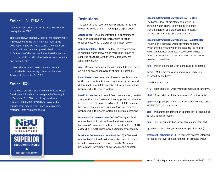## WATER QUALITY DATA

New Braunfels Utilities' water is rated Superior in quality by the TCEQ.

The table (shown on page 7) lists all the contaminants NBU detected in the drinking water during the 2020 reporting period. The presence of contaminants did not indicate the water posed a health risk. In fact, none of the test results indicated a violation of federal, state, or NBU standards for water quality and public health.

Unless otherwise indicated, the data present in the table is from testing conducted between January 1 to December 31, 2020.

## WATER LOSS

In the water loss audit submitted to the Texas Water Development Board for the time period of January 1 to December 31, 2020, the NBU system lost an estimated total of 609,469,841 gallons of water through main breaks, leaks, inaccurate customer metering, theft, and other causes.



#### **Definitions**

The tables in this report contain scientific terms and measures, some of which may require explanation.

**Action Level** — The concentration of a contaminant which, if exceeded, triggers treatment or other requirements which a water system must follow.

**Action Level Goal (ALG)** — The level of a contaminant in drinking water below which there is no known or expected health risk. Action Level Goals allow for a margin of safety.

**Avg** — Regulatory compliance with some MCLs are based on running an annual average of monthly samples.

**Level 1 Assessment** — A Level 1 Assessment is a study of the water system to identify potential problems and determine (if possible) why total coliform bacteria have been found in the water system.

**Level 2 Assessment** — A Level 2 Assessment is a very detailed study of the water system to identify potential problems and determine (if possible) why an E. coli MCL violation has occurred and/or why total coliform bacteria have been found in the water system on multiple occasions.

**Maximum Contaminant Level (MCL)** – The highest level of a contaminant that is allowed in drinking water. Maximum Contaminant Levels are set as close to the MCLG as feasible using the best available treatment technology.

**Maximum Contaminant Level Goal (MCLG)** — The level of a contaminant in drinking water below which there is no known or expected risk to health. Maximum Contaminant Level Goals allow for a margin of safety.

**Maximum Residual Disinfectant Level (MRDL)** —

The highest level of disinfectant allowed in drinking water. There is convincing evidence that the addition of a disinfectant is necessary for the control of microbial contaminants.

**Maximum Residual Disinfectant Level Goal (MRDLG)** —

The level of a drinking water disinfectant below which there is no known or expected risk to health. Maximum Residual Disinfectant Level Goals do not reflect the benefits of the use of disinfectants to control microbial contaminants.

**MFL** — Million Fibers per Liter (a measure of asbestos).

**mrem** — Millirems per year (a measure of radiation absorbed by the body).

**na** — Not applicable.

**NTU** — Nephelometric Turbidity Units (a measure of turbidity).

**pCi/L** — Picocuries per Liter (a measure of radioactivity).

**ppb** — Micrograms per liter or parts per billion - or one ounce in 7,350,000 gallons of water.

**ppm** — Milligrams per liter or parts per million - or one ounce in 7,350 gallons of water.

**ppq** — Parts per quadrillion, or picograms per liter (pg/L).

**ppt** — Parts per trillion, or nanograms per liter (ng/L).

**Treatment Technique or TT** — A required process intended to reduce the level of a contaminant in drinking water.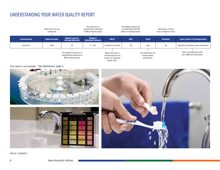# UNDERSTANDING YOUR WATER QUALITY REPORT



This report is an example. \* See Definitions, page 5.



PWS ID: TX0460001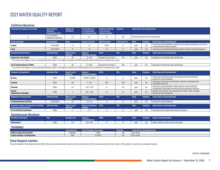# 2021 WATER QUALITY REPORT

#### **Coliform Bacteria**

| <b>Maximum Contaminant Level Goal</b>                                                                                                            | <b>Total Coliform</b><br><b>Maximum</b><br><b>Contaminant Level</b> | <b>Highest No.</b><br>of Positive       | <b>Fecal Coliform or</b><br>E. coli Maximum<br><b>Contaminant Level</b> | <b>Total No. of Positive</b><br><b>E. coli or Fecal</b><br><b>Coliform Samples</b> | <b>Violation</b> |              | <b>Likely Source of Contamination</b> |                                                                                                           |  |
|--------------------------------------------------------------------------------------------------------------------------------------------------|---------------------------------------------------------------------|-----------------------------------------|-------------------------------------------------------------------------|------------------------------------------------------------------------------------|------------------|--------------|---------------------------------------|-----------------------------------------------------------------------------------------------------------|--|
| $\mathbf 0$                                                                                                                                      | 5% of monthly<br>samples are positive.                              | 1.2                                     | na                                                                      | 0                                                                                  | No               |              | Naturally present in the environment. |                                                                                                           |  |
|                                                                                                                                                  |                                                                     |                                         |                                                                         |                                                                                    |                  |              |                                       |                                                                                                           |  |
| <b>Lead and Copper</b>                                                                                                                           | <b>Date Sampled</b>                                                 | <b>MCLG</b>                             | <b>Action Level (AL)</b>                                                | <b>90th Percentile</b>                                                             | # Sites Over AL  | <b>Units</b> | <b>Violation</b>                      | <b>Likely Source of Contamination</b>                                                                     |  |
| Copper                                                                                                                                           | 10/31/2019                                                          | 1.3                                     | 1.3                                                                     | 0.152                                                                              |                  | ppm          | N <sub>0</sub>                        | Erosion of natural deposits; Leaching from wood preservatives; Corrosion<br>of household plumbing systems |  |
| Lead                                                                                                                                             | 10/31/2019                                                          |                                         |                                                                         | 1.6                                                                                |                  | ppb          | No                                    | Corrosion of household plumbing systems; Erosion of natural deposits                                      |  |
|                                                                                                                                                  |                                                                     |                                         |                                                                         |                                                                                    |                  |              |                                       |                                                                                                           |  |
| <b>Disinfection By-Products</b>                                                                                                                  | <b>Collection Date</b>                                              | <b>Highest Level</b><br><b>Detected</b> | <b>Range of</b><br><b>Individual Samples</b>                            | <b>MCLG</b>                                                                        | <b>MCL</b>       | <b>Units</b> | <b>Violation</b>                      | <b>Likely Source of Contamination</b>                                                                     |  |
| <b>Haloacetic Acids (HAA5)</b>                                                                                                                   | 2020                                                                | 24                                      | $0 - 42.1$                                                              | No goal for the total                                                              | 60               | ppb          | No                                    | Byproduct of drinking water disinfection                                                                  |  |
| the value in the Highest Level or Average Detected column is the bighest average of all HAA5 sample results collected at a location over a vear' |                                                                     |                                         |                                                                         |                                                                                    |                  |              |                                       |                                                                                                           |  |

'\* The value in the Highest Level or Average Detected column is the highest average of all HAA5 sample results collected at a location over a year'

| <b>Total Trihalon</b><br>nethanes (TTHM)                                                                                                                          | 2020 |  | 0 <sup>0</sup><br>יי - אט. | TNF<br>IVU. | 80 | nn | No. | g water disinfectior<br>of drinking<br>Byproduct |
|-------------------------------------------------------------------------------------------------------------------------------------------------------------------|------|--|----------------------------|-------------|----|----|-----|--------------------------------------------------|
| * The value<br>is the highest average of all TTHM sample results collected at a<br>r Average Detected column<br>r a year<br>. est Level or 1<br>ue in the Highest |      |  |                            |             |    |    |     |                                                  |

| <b>Inorganic Contaminants</b>                                         | <b>Collection Date</b> | <b>Highest Level</b><br><b>Detected</b> | <b>Range of</b><br>Individual Samples        | <b>MCLG</b> | <b>MCL</b> | <b>Units</b> | <b>Violation</b> | <b>Likely Source of Contamination</b>                                                                                        |
|-----------------------------------------------------------------------|------------------------|-----------------------------------------|----------------------------------------------|-------------|------------|--------------|------------------|------------------------------------------------------------------------------------------------------------------------------|
| Barium                                                                | 2020                   | 0.0309                                  | $0.0309 - 0.0309$                            |             |            | ppm          | N <sub>0</sub>   | Discharge of drilling wastes; Discharge from metal refineries;<br>Erosion of natural deposits                                |
| Cyanide                                                               | 2020                   | 90                                      | $0 - 90$                                     | 200         | 200        | ppb          | N <sub>0</sub>   | Discharge from plastic and fertilizer factories; Discharge from<br>steel/metal factories                                     |
| Fluoride                                                              | 2020                   | 0.7                                     | $0.21 - 0.73$                                |             | 4.0        | ppm          | N <sub>0</sub>   | Erosion of natural deposits; Water additive which promotes<br>strong teeth; Discharge from fertilizer and aluminum factories |
| <b>Nitrate</b><br><b>Imeasured as Nitrogenl</b>                       | 2020                   |                                         | $0.61 - 2.03$                                | 10          | 10         | ppm          | N <sub>0</sub>   | Runoff from fertilizer use; Leaching from septic tanks, sewage;<br>Erosion of natural deposits                               |
| Radioactive Contaminants                                              | <b>Collection Date</b> | <b>Highest Level</b><br><b>Detected</b> | <b>Range of</b><br><b>Individual Samples</b> | <b>MCLG</b> | <b>MCL</b> | <b>Units</b> | <b>Violation</b> | <b>Likely Source of Contamination</b>                                                                                        |
| <b>Combined Radium 226/228</b>                                        | 03/24/2015             | 1.5                                     | $1.5 - 1.5$                                  |             |            | pCi/         | No               | Erosion of natural deposits                                                                                                  |
| Synthetic organic contaminants including<br>pesticides and herbicides | <b>Collection Date</b> | <b>Highest Level</b><br><b>Detected</b> | <b>Range of Individual</b><br><b>Samples</b> | <b>MCLG</b> | <b>MCL</b> | <b>Units</b> | <b>Violation</b> | Likely Source of Contamination                                                                                               |
| Di (2-ethylhexyl) phthalate                                           | 2020                   |                                         | $0 -$                                        |             | b          | ppb          | No               | Discharge from rubber and chemical factories.                                                                                |

#### **Disinfectant Residual**

| <b>Disinfectant Residual</b> | Year | <b>Average Level</b> | <b>Range of</b><br><b>Levels Detected</b> | <b>MRDL</b> | <b>MRDLG</b> | <b>Units</b> | <b>Violation</b> | Source in Drinking Water                |
|------------------------------|------|----------------------|-------------------------------------------|-------------|--------------|--------------|------------------|-----------------------------------------|
| <b>Chloramines</b>           | 2020 |                      | $0.8 - 4.8$                               |             |              | ppm          |                  | Water additive used to control microbes |

#### **Turbidity**

|                                | <b>Level Detected</b> | <b>Limit (Treatment Technique)</b> | <b>Violation</b> | <b>Likely Source of Contamination</b> |
|--------------------------------|-----------------------|------------------------------------|------------------|---------------------------------------|
| Highest single measurement     | 0.9 NTU               | 1 NTL                              | N <sub>0</sub>   | Soil runoff                           |
| Lowest monthly % meeting limit | 99%                   | 0.3 NTU                            | N <sub>0</sub>   | Soil runoff                           |

#### **Total Organic Carbon**

The percentage of Total Organic Carbon (TOC) removal was measured each month and the system met all TOC removal requirements set, unless a TOC violation is noted in the violations section.

PWS ID: TX0460001